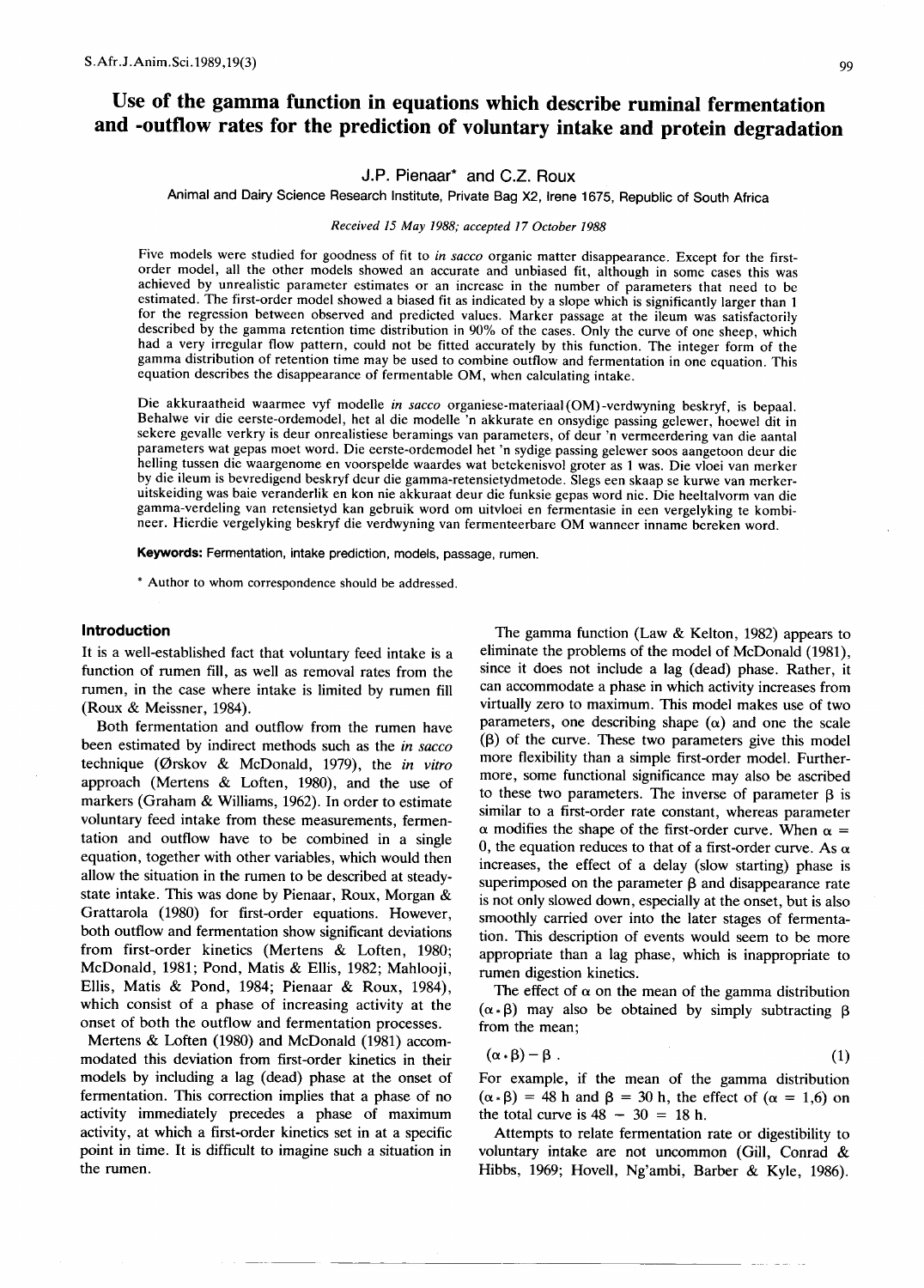# **Use of the gamma function in equations which describe ruminal fermentation and -outflow rates for the prediction of voluntary intake and protein degradation**

# J.P. Pienaar\* and C.Z. Raux

Animal and Dairy Science Research Institute, Private Bag X2, Irene 1675, Republic of South Africa

Received 15 May 1988; accepted 17 October 1988

Five models were studied for goodness of fit to *in sacco* organic matter disappearance. Except for the firstorder model, all the other models showed an accurate and unbiased fit, although in some cases this was achieved by unrealistic parameter estimates or an increase in the number of parameters that need to be estimated. The first-order model showed a biased fit as indicated by a slope which is significantly larger than 1 for the regression between observed and predicted values. Marker passage at the ileum was satisfactorily described by the gamma retention time distribution in 90% of the cases. Only the curve of one sheep, which had a very irregular flow pattern, could not be fitted accurately by this function. The integer form of the gamma distribution of retention time may be used to combine outflow and fermentation in one equation. This equation describes the disappearance of fermentable OM, when calculating intake.

Die akkuraatheid waarmee vyf modelle *in sacco* organiese-materiaal (OM) -verdwyning beskryf, is bepaal. Behalwe vir die eerste-ordemodel, het al die modelle 'n akkurate en onsydige passing gelewer, hoewel dit in sekere gevalle verkry is deur onrealistiese beramings van parameters, of deur 'n vermeerdering van die aantal parameters wat gepas moet word. Die eerste-ordemodel het 'n sydige passing gelewer soos aangetoon deur die helling tussen die waargenome en voorspelde waardes wat betekenisvol groter as 1 was. Die vloei van merker by die ileum is bevredigend beskryf deur die gamma-retensietydmetode. Slegs een skaap se kurwe van merkeruitskeiding was baie veranderlik en kon nie akkuraat deur die funksie gepas word nie. Die heeltalvorm van die gamma-verdeling van retensietyd kan gebruik word om uitvloei en fermentasie in een vergelyking te kombineer. Hierdie vergelyking beskryf die verdwyning van fermenteerbare OM wanneer inname bereken word.

Keywords: Fermentation, intake prediction, models, passage, rumen.

\* Author to whom correspondence should be addressed.

#### **Introduction**

It is a well-established fact that voluntary feed intake is a function of rumen fill, as well as removal rates from the rumen, in the case where intake is limited by rumen fill (Roux & Meissner, 1984).

Both fermentation and outflow from the rumen have been estimated by indirect methods such as the *in sacco* technique (0rskov & McDonald, 1979), the *in vitro* approach (Mertens & Loften, 1980), and the use of markers (Graham & Williams, 1962). In order to estimate voluntary feed intake from these measurements, fermentation and outflow have to be combined in a single equation, together with other variables, which would then allow the situation in the rumen to be described at steadystate intake. This was done by Pienaar, Roux, Morgan & Grattarola (1980) for first-order equations. However, both outflow and fermentation show significant deviations from first-order kinetics (Mertens & Loften, 1980; McDonald, 1981; Pond, Matis & Ellis, 1982; Mahlooji, Ellis, Matis & Pond, 1984; Pienaar & Roux, 1984), which consist of a phase of increasing activity at the onset of both the outflow and fermentation processes.

Mertens & Loften (1980) and McDonald (1981) accommodated this deviation from first-order kinetics in their models by including a lag (dead) phase at the onset of fermentation. This correction implies that a phase of no activity immediately precedes a phase of maximum activity, at which a first-order kinetics set in at a specific point in time. It is difficult to imagine such a situation in the rumen.

The gamma function (Law & Kelton, 1982) appears to eliminate the problems of the model of McDonald (1981), since it does not include a lag (dead) phase. Rather, it can accommodate a phase in which activity increases from virtually zero to maximum. This model makes use of two parameters, one describing shape  $(\alpha)$  and one the scale  $(β)$  of the curve. These two parameters give this model more flexibility than a simple first-order model. Furthermore, some functional significance may also be ascribed to these two parameters. The inverse of parameter  $\beta$  is similar to a first-order rate constant, whereas parameter  $\alpha$  modifies the shape of the first-order curve. When  $\alpha$  = 0, the equation reduces to that of a first-order curve. As  $\alpha$ increases, the effect of a delay (slow starting) phase is superimposed on the parameter  $\beta$  and disappearance rate is not only slowed down, especially at the onset, but is also smoothly carried over into the later stages of fermentation. This description of events would seem to be more appropriate than a lag phase, which is inappropriate to rumen digestion kinetics.

The effect of  $\alpha$  on the mean of the gamma distribution  $(\alpha \cdot \beta)$  may also be obtained by simply subtracting  $\beta$ from the mean;

$$
(\alpha \cdot \beta) - \beta \tag{1}
$$

For example, if the mean of the gamma distribution  $(\alpha \cdot \beta) = 48$  h and  $\beta = 30$  h, the effect of  $(\alpha = 1,6)$  on the total curve is  $48 - 30 = 18$  h.

Attempts to relate fermentation rate or digestibility to voluntary intake are not uncommon (Gill, Conrad & Hibbs, 1969; Hovell, Ng'ambi, Barber & Kyle, 1986).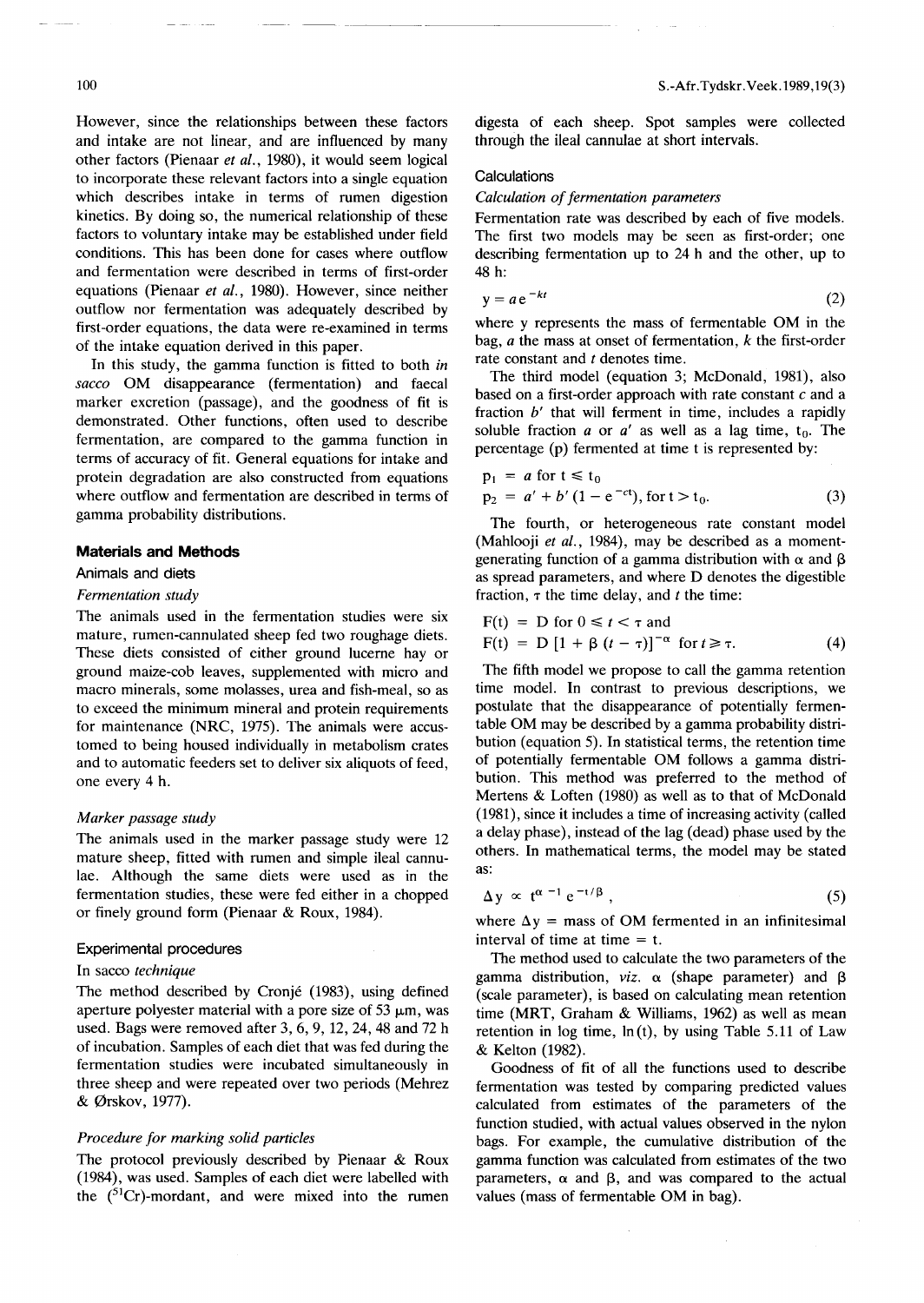However, since the relationships between these factors and intake are not linear, and are influenced by many other factors (Pienaar *et al.,* 1980), it would seem logical to incorporate these relevant factors into a single equation which describes intake in terms of rumen digestion kinetics. By doing so, the numerical relationship of these factors to voluntary intake may be established under field conditions. This has been done for cases where outflow and fermentation were described in terms of first-order equations (Pienaar *et al.,* 1980). However, since neither outflow nor fermentation was adequately described by first-order equations, the data were re-examined in terms of the intake equation derived in this paper.

In this study, the gamma function is fitted to both *in sacco* OM disappearance (fermentation) and faecal marker excretion (passage), and the goodness of fit is demonstrated. Other functions, often used to describe fermentation, are compared to the gamma function in terms of accuracy of fit. General equations for intake and protein degradation are also constructed from equations where outflow and fermentation are described in terms of gamma probability distributions.

#### **Materials and Methods**

#### Animals and diets

#### *Fermentation study*

The animals used in the fermentation studies were six mature, rumen-cannulated sheep fed two roughage diets. These diets consisted of either ground lucerne hay or ground maize-cob leaves, supplemented with micro and macro minerals, some molasses, urea and fish-meal, so as to exceed the minimum mineral and protein requirements for maintenance (NRC, 1975). The animals were accustomed to being housed individually in metabolism crates and to automatic feeders set to deliver six aliquots of feed, one every 4 h.

## *Marker passage study*

The animals used in the marker passage study were 12 mature sheep, fitted with rumen and simple ileal cannulae. Although the same diets were used as in the fermentation studies, these were fed either in a chopped or finely ground form (Pienaar & Roux, 1984).

#### Experimental procedures

#### In sacco *technique*

The method described by Cronje (1983), using defined aperture polyester material with a pore size of 53  $\mu$ m, was used. Bags were removed after 3,6,9, 12,24,48 and 72 h of incubation. Samples of each diet that was fed during the fermentation studies were incubated simultaneously in three sheep and were repeated over two periods (Mehrez & 0rskov, 1977).

### *Procedure for marking solid particles*

The protocol previously described by Pienaar & Roux (1984), was used. Samples of each diet were labelled with the  $(^{51}Cr)$ -mordant, and were mixed into the rumen digesta of each sheep. Spot samples were collected through the ileal cannulae at short intervals.

#### **Calculations**

#### *Calculation of fermentation parameters*

Fermentation rate was described by each of five models. The first two models may be seen as first-order; one describing fermentation up to 24 h and the other, up to 48 h:

$$
y = ae^{-kt} \tag{2}
$$

where y represents the mass of fermentable OM in the bag, *a* the mass at onset of fermentation, *k* the first-order rate constant and *t* denotes time.

The third model (equation 3; McDonald, 1981), also based on a first-order approach with rate constant  $c$  and a fraction *h'* that will ferment in time, includes a rapidly soluble fraction *a* or *a'* as well as a lag time,  $t_0$ . The percentage (p) fermented at time t is represented by:

$$
p_1 = a \text{ for } t \le t_0
$$
  
\n
$$
p_2 = a' + b' (1 - e^{-ct}), \text{ for } t > t_0.
$$
\n(3)

The fourth, or heterogeneous rate constant model (Mahlooji *et al.,* 1984), may be described as a momentgenerating function of a gamma distribution with  $\alpha$  and  $\beta$ as spread parameters, and where D denotes the digestible fraction,  $\tau$  the time delay, and *t* the time:

$$
F(t) = D \text{ for } 0 \le t < \tau \text{ and}
$$
  
 
$$
F(t) = D [1 + \beta (t - \tau)]^{-\alpha} \text{ for } t \ge \tau.
$$
 (4)

The fifth model we propose to call the gamma retention time model. In contrast to previous descriptions, we postulate that the disappearance of potentially fermentable OM may be described by a gamma probability distribution (equation 5). In statistical terms, the retention time of potentially fermentable OM follows a gamma distribution. This method was preferred to the method of Mertens & Loften (1980) as well as to that of McDonald (1981), since it includes a time of increasing activity (called a delay phase), instead of the lag (dead) phase used by the others. In mathematical terms, the model may be stated as:

$$
\Delta y \propto t^{\alpha - 1} e^{-t/\beta}, \qquad (5)
$$

where  $\Delta y$  = mass of OM fermented in an infinitesimal interval of time at time  $=$  t.

The method used to calculate the two parameters of the gamma distribution, *viz.*  $\alpha$  (shape parameter) and  $\beta$ (scale parameter), is based on calculating mean retention time (MRT, Graham & Williams, 1962) as well as mean retention in log time,  $ln(t)$ , by using Table 5.11 of Law & Kelton (1982).

Goodness of fit of all the functions used to describe fermentation was tested by comparing predicted values calculated from estimates of the parameters of the function studied, with actual values observed in the nylon bags. For example, the cumulative distribution of the gamma function was calculated from estimates of the two parameters,  $\alpha$  and  $\beta$ , and was compared to the actual values (mass of fermentable OM in bag).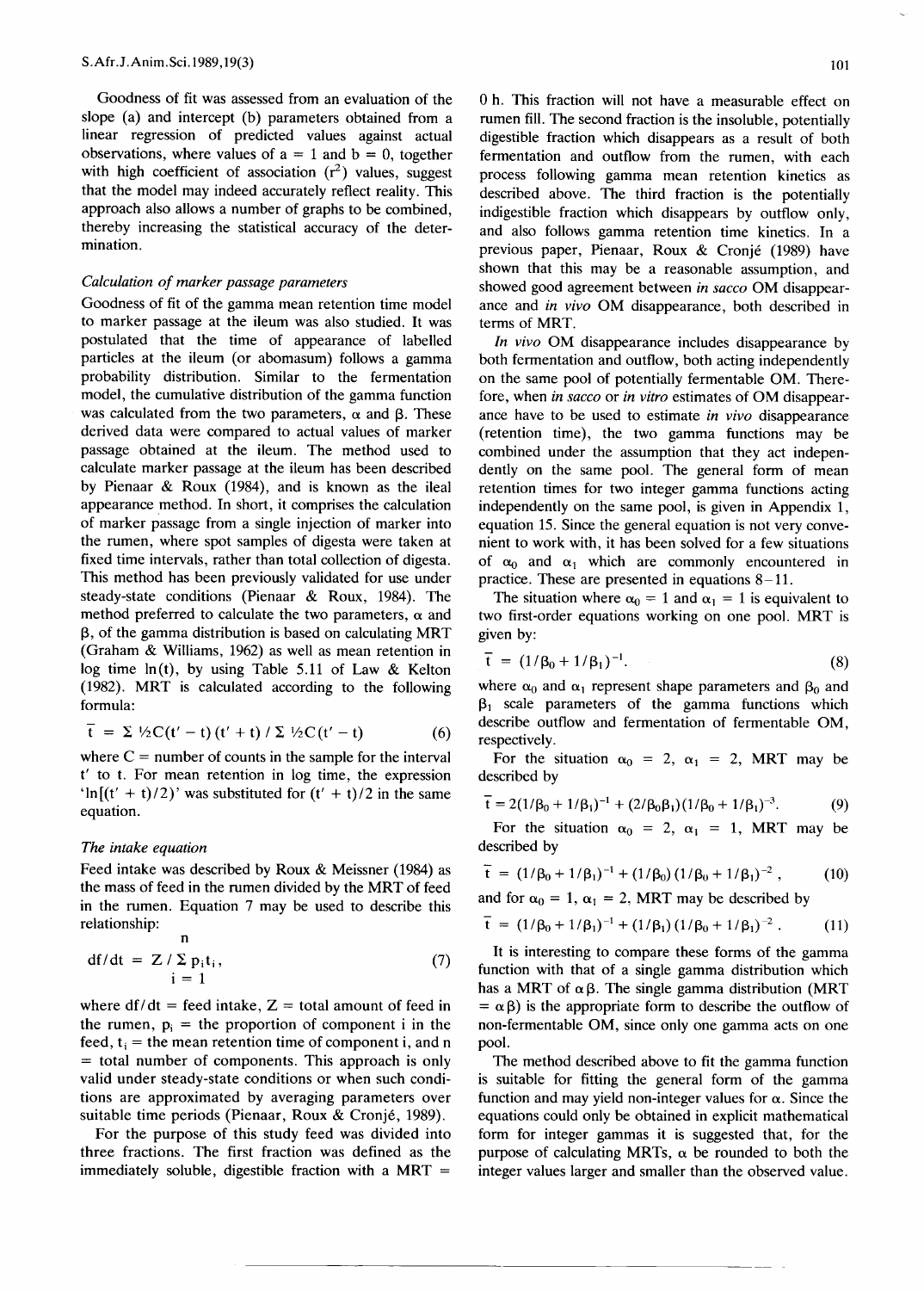Goodness of fit was assessed from an evaluation of the slope (a) and intercept (b) parameters obtained from a linear regression of predicted values against actual observations, where values of  $a = 1$  and  $b = 0$ , together with high coefficient of association  $(r^2)$  values, suggest that the model may indeed accurately reflect reality. This approach also allows a number of graphs to be combined, thereby increasing the statistical accuracy of the determination.

#### *Calculation of marker passage parameters*

Goodness of fit of the gamma mean retention time model to marker passage at the ileum was also studied. It was postulated that the time of appearance of labelled particles at the ileum (or abomasum) follows a gamma probability distribution. Similar to the fermentation model, the cumulative distribution of the gamma function was calculated from the two parameters,  $\alpha$  and  $\beta$ . These derived data were compared to actual values of marker passage obtained at the ileum. The method used to calculate marker passage at the ileum has been described by Pienaar & Roux (1984), and is known as the ileal appearance method. In short, it comprises the calculation of marker passage from a single injection of marker into the rumen, where spot samples of digesta were taken at fixed time intervals, rather than total collection of digesta. This method has been previously validated for use under steady-state conditions (Pienaar & Roux, 1984). The method preferred to calculate the two parameters,  $\alpha$  and  $\beta$ , of the gamma distribution is based on calculating MRT (Graham & Williams, 1962) as well as mean retention in log time  $ln(t)$ , by using Table 5.11 of Law & Kelton (1982). MRT is calculated according to the following formula:

$$
\bar{t} = \Sigma \sqrt{2} C(t'-t) (t'+t) / \Sigma \sqrt{2} C(t'-t)
$$
 (6)

where  $C =$  number of counts in the sample for the interval l' to t. For mean retention in log time, the expression 'ln $[(t' + t)/2)'$ ' was substituted for  $(t' + t)/2$  in the same equation.

#### *The intake equation*

Feed intake was described by Roux & Meissner (1984) as the mass of feed in the rumen divided by the MRT of feed in the rumen. Equation 7 may be used to describe this relationship:  $\mathbf{r}$ 

$$
df/dt = Z / \sum_{i=1}^{n} p_i t_i,
$$
 (7)

where  $df/dt$  = feed intake,  $Z =$  total amount of feed in the rumen,  $p_i$  = the proportion of component i in the feed,  $t_i$  = the mean retention time of component i, and n = total number of components. This approach is only valid under steady-state conditions or when such conditions are approximated by averaging parameters over suitable time periods (Pienaar, Roux & Cronjé, 1989).

For the purpose of this study feed was divided into three fractions. The first fraction was defined as the immediately soluble, digestible fraction with a MRT  $=$ 

o h. This fraction will not have a measurable effect on rumen fill. The second fraction is the insoluble, potentially digestible fraction which disappears as a result of both fermentation and outflow from the rumen, with each process following gamma mean retention kinetics as described above. The third fraction is the potentially indigestible fraction which disappears by outflow only, and also follows gamma retention time kinetics. In a previous paper, Pienaar, Roux & Cronje (1989) have shown that this may be a reasonable assumption, and showed good agreement between *in sacco* OM disappearance and *in vivo* OM disappearance, both described in terms of MRT.

*In vivo* OM disappearance includes disappearance by both fermentation and outflow, both acting independently on the same pool of potentially fermentable OM. Therefore, when *in sacco* or *in vitro* estimates of OM disappearance have to be used to estimate *in vivo* disappearance (retention time), the two gamma functions may be combined under the assumption that they act independently on the same pool. The general form of mean retention times for two integer gamma functions acting independently on the same pool, is given in Appendix 1, equation 15. Since the general equation is not very convenient to work with, it has been solved for a few situations of  $\alpha_0$  and  $\alpha_1$  which are commonly encountered in practice. These are presented in equations 8-11.

The situation where  $\alpha_0 = 1$  and  $\alpha_1 = 1$  is equivalent to two first-order equations working on one pool. MRT is given by:

$$
\bar{t} = (1/\beta_0 + 1/\beta_1)^{-1}.
$$
 (8)

where  $\alpha_0$  and  $\alpha_1$  represent shape parameters and  $\beta_0$  and  $\beta_1$  scale parameters of the gamma functions which describe outflow and fermentation of fermentable OM, respectively.

For the situation  $\alpha_0 = 2$ ,  $\alpha_1 = 2$ , MRT may be described by

$$
\overline{t} = 2(1/\beta_0 + 1/\beta_1)^{-1} + (2/\beta_0\beta_1)(1/\beta_0 + 1/\beta_1)^{-3}.
$$
 (9)

For the situation  $\alpha_0 = 2$ ,  $\alpha_1 = 1$ , MRT may be described by

$$
\tilde{t} = (1/\beta_0 + 1/\beta_1)^{-1} + (1/\beta_0) (1/\beta_0 + 1/\beta_1)^{-2}, \qquad (10)
$$

and for  $\alpha_0 = 1$ ,  $\alpha_1 = 2$ , MRT may be described by

$$
\overline{t} = (1/\beta_0 + 1/\beta_1)^{-1} + (1/\beta_1)(1/\beta_0 + 1/\beta_1)^{-2}.
$$
 (11)

It is interesting to compare these forms of the gamma function with that of a single gamma distribution which has a MRT of  $\alpha \beta$ . The single gamma distribution (MRT  $= \alpha \beta$ ) is the appropriate form to describe the outflow of non-fermentable OM, since only one gamma acts on one pool.

The method described above to fit the gamma function is suitable for fitting the general form of the gamma function and may yield non-integer values for  $\alpha$ . Since the equations could only be obtained in explicit mathematical form for integer gammas it is suggested that, for the purpose of calculating MRTs,  $\alpha$  be rounded to both the integer values larger and smaller than the observed value.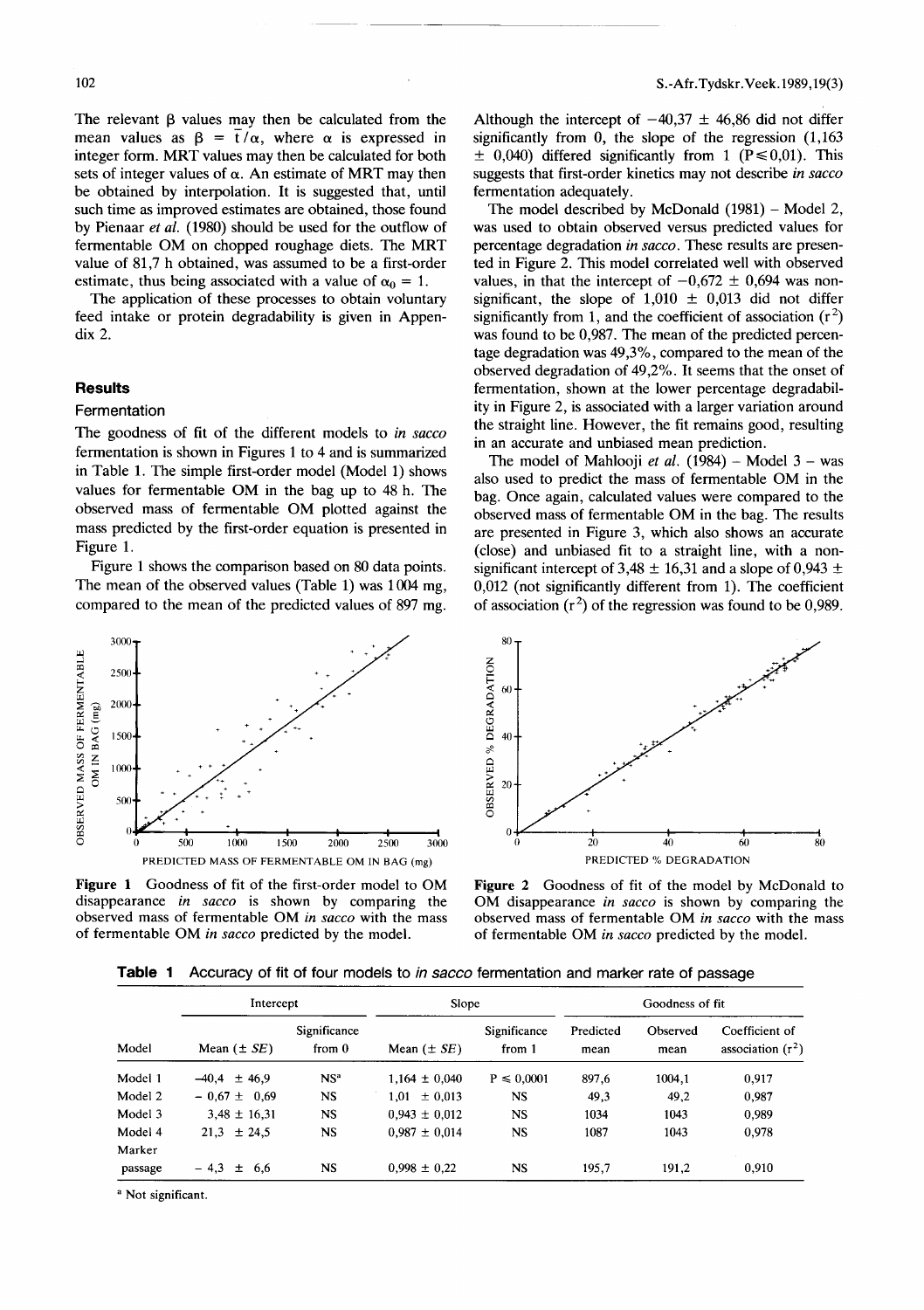The relevant  $\beta$  values may then be calculated from the mean values as  $\beta = \overline{t}/\alpha$ , where  $\alpha$  is expressed in integer form. MRT values may then be calculated for both sets of integer values of  $\alpha$ . An estimate of MRT may then be obtained by interpolation. It is suggested that, until such time as improved estimates are obtained, those found by Pienaar *et ai.* (1980) should be used for the outflow of fermentable OM on chopped roughage diets. The MRT value of 81,7 h obtained, was assumed to be a first-order estimate, thus being associated with a value of  $\alpha_0 = 1$ .

The application of these processes to obtain voluntary feed intake or protein degradability is given in Appendix 2.

## **Results**

#### Fermentation

The goodness of fit of the different models to *in sacco* fermentation is shown in Figures 1 to 4 and is summarized in Table 1. The simple first-order model (Model 1) shows values for fermentable OM in the bag up to 48 h. The observed mass of fermentable OM plotted against the mass predicted by the first-order equation is presented in Figure 1.

Figure 1 shows the comparison based on 80 data points. The mean of the observed values (Table 1) was 1004 mg, compared to the mean of the predicted values of 897 mg.



Figure 1 Goodness of fit of the first-order model to OM disappearance *in sacco* is shown by comparing the observed mass of fermentable OM *in sacco* with the mass of fermentable OM *in sacco* predicted by the model.

Although the intercept of  $-40.37 \pm 46.86$  did not differ significantly from 0, the slope of the regression  $(1,163)$  $\pm$  0,040) differed significantly from 1 (P  $\leq$  0,01). This suggests that first-order kinetics may not describe *in sacco* fermentation adequately.

The model described by McDonald (1981) – Model 2, was used to obtain observed versus predicted values for percentage degradation *in sacco.* These results are presented in Figure 2. This model correlated well with observed values, in that the intercept of  $-0.672 \pm 0.694$  was nonsignificant, the slope of  $1,010 \pm 0,013$  did not differ significantly from 1, and the coefficient of association ( $r^2$ was found to be 0,987. The mean of the predicted percentage degradation was 49,3%, compared to the mean of the observed degradation of 49,2%. It seems that the onset of fermentation, shown at the lower percentage degradability in Figure 2, is associated with a larger variation around the straight line. However, the fit remains good, resulting in an accurate and unbiased mean prediction.

The model of Mahlooji *et al.* (1984) - Model  $3 - was$ also used to predict the mass of fermentable OM in the bag. Once again, calculated values were compared to the observed mass of fermentable OM in the bag. The results are presented in Figure 3, which also shows an accurate (close) and unbiased fit to a straight line, with a nonsignificant intercept of 3,48  $\pm$  16,31 and a slope of 0,943  $\pm$ 0,012 (not significantly different from 1). The coefficient of association ( $r^2$ ) of the regression was found to be 0,989



Figure 2 Goodness of fit of the model by McDonald to OM disappearance *in sacco* is shown by comparing the observed mass of fermentable OM *in sacco* with the mass of fermentable OM *in sacco* predicted by the model.

Table 1 Accuracy of fit of four models to in sacco fermentation and marker rate of passage

| Model   | Intercept        |                          | Slope             |                        | Goodness of fit   |                  |                                       |
|---------|------------------|--------------------------|-------------------|------------------------|-------------------|------------------|---------------------------------------|
|         | Mean $(\pm SE)$  | Significance<br>from $0$ | Mean $(\pm SE)$   | Significance<br>from 1 | Predicted<br>mean | Observed<br>mean | Coefficient of<br>association $(r^2)$ |
| Model 1 | $-40,4 \pm 46.9$ | NS <sup>a</sup>          | $1.164 \pm 0.040$ | $P \le 0.0001$         | 897,6             | 1004.1           | 0,917                                 |
| Model 2 | $-0.67 \pm 0.69$ | <b>NS</b>                | $1,01 \pm 0,013$  | <b>NS</b>              | 49.3              | 49,2             | 0,987                                 |
| Model 3 | $3.48 \pm 16.31$ | <b>NS</b>                | $0.943 \pm 0.012$ | <b>NS</b>              | 1034              | 1043             | 0,989                                 |
| Model 4 | $21.3 \pm 24.5$  | <b>NS</b>                | $0.987 \pm 0.014$ | <b>NS</b>              | 1087              | 1043             | 0,978                                 |
| Marker  |                  |                          |                   |                        |                   |                  |                                       |
| passage | $-4.3 \pm 6.6$   | <b>NS</b>                | $0.998 \pm 0.22$  | <b>NS</b>              | 195.7             | 191,2            | 0,910                                 |

<sup>a</sup> Not significant.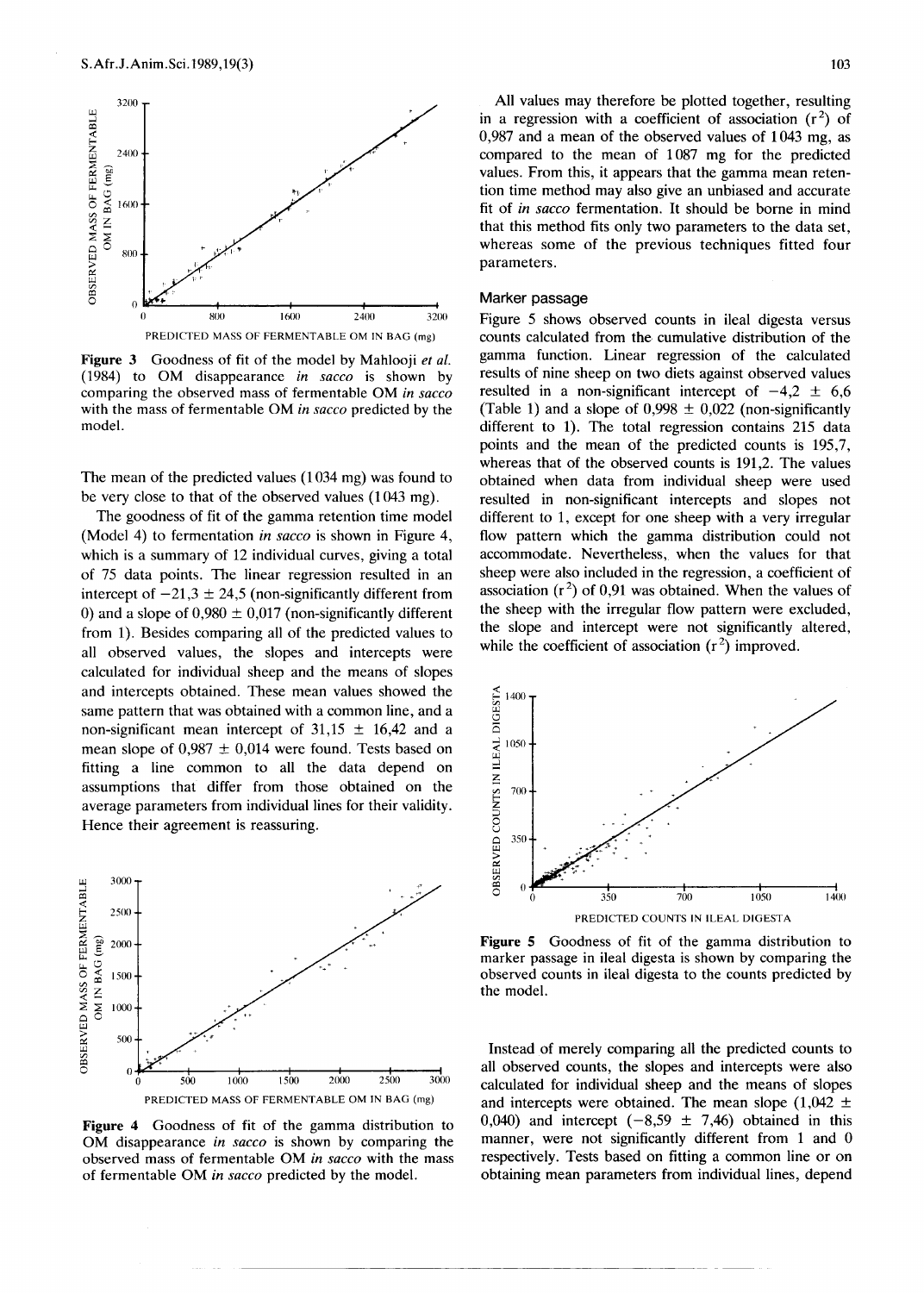

**Figure** 3 Goodness of fit of the model by Mahlooji *et al.* (1984) to OM disappearance *in sacco* is shown by comparing the observed mass of fermentable OM *in sacco* with the mass of fermentable OM *in sacco* predicted by the model.

The mean of the predicted values (1034 mg) was found to be very close to that of the observed values (1043 mg).

The goodness of fit of the gamma retention time model (Model 4) to fermentation *in sacco* is shown in Figure 4, which is a summary of 12 individual curves, giving a total of 75 data points. The linear regression resulted in an intercept of  $-21,3 \pm 24,5$  (non-significantly different from 0) and a slope of  $0,980 \pm 0,017$  (non-significantly different from 1). Besides comparing all of the predicted values to all observed values, the slopes and intercepts were calculated for individual sheep and the means of slopes and intercepts obtained. These mean values showed the same pattern that was obtained with a common line, and a non-significant mean intercept of  $31,15 \pm 16,42$  and a mean slope of  $0.987 \pm 0.014$  were found. Tests based on fitting a line common to all the data depend on assumptions that differ from those obtained on the average parameters from individual lines for their validity. Hence their agreement is reassuring.



**Figure 4** Goodness of fit of the gamma distribution to OM disappearance *in sacco* is shown by comparing the observed mass of fermentable OM *in sacco* with the mass of fermentable OM *in sacco* predicted by the model.

All values may therefore be plotted together, resulting in a regression with a coefficient of association  $(r^2)$  of 0,987 and a mean of the observed values of 1043 mg, as compared to the mean of 1087 mg for the predicted values. From this, it appears that the gamma mean retention time method may also give an unbiased and accurate fit of *in sacco* fermentation. It should be borne in mind that this method fits only two parameters to the data set, whereas some of the previous techniques fitted four parameters.

## Marker passage

Figure 5 shows observed counts in ileal digesta versus counts calculated from the cumulative distribution of the gamma function. Linear regression of the calculated results of nine sheep on two diets against observed values resulted in a non-significant intercept of  $-4.2 \pm 6.6$ (Table 1) and a slope of  $0,998 \pm 0,022$  (non-significantly different to 1). The total regression contains 215 data points and the mean of the predicted counts is 195,7, whereas that of the observed counts is 191,2. The values obtained when data from individual sheep were used resulted in non-significant intercepts and slopes not different to 1, except for one sheep with a very irregular flow pattern which the gamma distribution could not accommodate. Nevertheless, when the values for that sheep were also included in the regression, a coefficient of association  $(r^2)$  of 0,91 was obtained. When the values of the sheep with the irregular flow pattern were excluded, the slope and intercept were not significantly altered, while the coefficient of association  $(r^2)$  improved.



**Figure** 5 Goodness of fit of the gamma distribution to marker passage in ileal digesta is shown by comparing the observed counts in ileal digesta to the counts predicted by the model.

Instead of merely comparing all the predicted counts to all observed counts, the slopes and intercepts were also calculated for individual sheep and the means of slopes and intercepts were obtained. The mean slope  $(1,042 \pm 1)$ 0,040) and intercept  $(-8,59 \pm 7,46)$  obtained in this manner, were not significantly different from 1 and 0 respectively. Tests based on fitting a common line or on obtaining mean parameters from individual lines, depend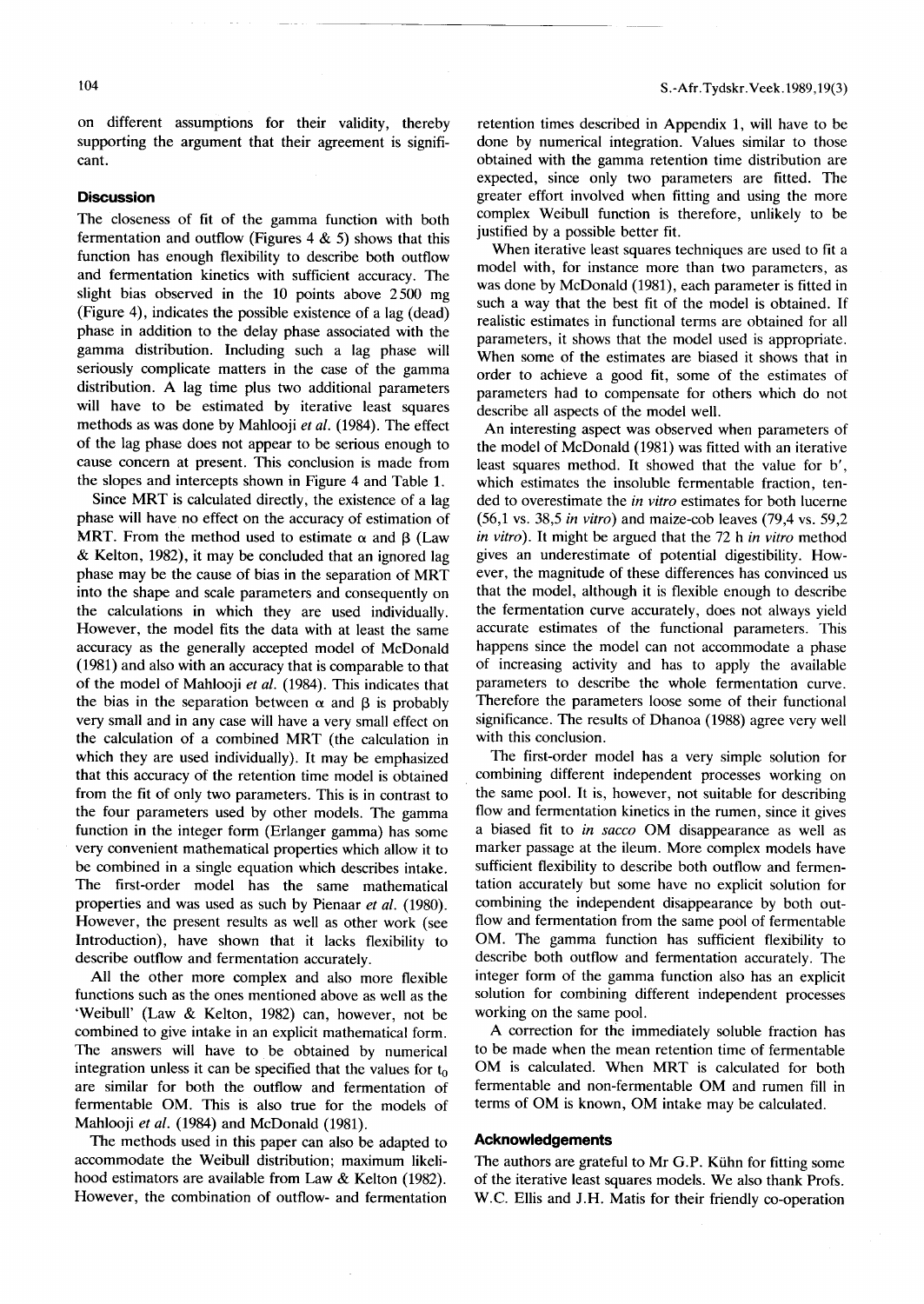on different assumptions for their validity, thereby supporting the argument that their agreement is significant.

#### **Discussion**

The closeness of fit of the gamma function with both fermentation and outflow (Figures  $4 \& 5$ ) shows that this function has enough flexibility to describe both outflow and fermentation kinetics with sufficient accuracy. The slight bias observed in the 10 points above 2500 mg (Figure 4), indicates the possible existence of a lag (dead) phase in addition to the delay phase associated with the gamma distribution. Including such a lag phase will seriously complicate matters in the case of the gamma distribution. A lag time plus two additional parameters will have to be estimated by iterative least squares methods as was done by Mahlooji *et al.* (1984). The effect of the lag phase does not appear to be serious enough to cause concern at present. This conclusion is made from the slopes and intercepts shown in Figure 4 and Table 1.

Since MRT is calculated directly, the existence of a lag phase will have no effect on the accuracy of estimation of MRT. From the method used to estimate  $\alpha$  and  $\beta$  (Law & Kelton, 1982), it may be concluded that an ignored lag phase may be the cause of bias in the separation of MRT into the shape and scale parameters and consequently on the calculations in which they are used individually. However, the model fits the data with at least the same accuracy as the generally accepted model of McDonald (1981) and also with an accuracy that is comparable to that of the model of Mahlooji *et al.* (1984). This indicates that the bias in the separation between  $\alpha$  and  $\beta$  is probably very small and in any case will have a very small effect on the calculation of a combined MRT (the calculation in which they are used individually). It may be emphasized that this accuracy of the retention time model is obtained from the fit of only two parameters. This is in contrast to the four parameters used by other models. The gamma function in the integer form (Erlanger gamma) has some very convenient mathematical properties which allow it to be combined in a single equation which describes intake. The first-order model has the same mathematical properties and was used as such by Pienaar *et al. (1980).* However, the present results as well as other work (see Introduction), have shown that it lacks flexibility to describe outflow and fermentation accurately.

All the other more complex and also more flexible functions such as the ones mentioned above as well as the 'Weibull' (Law & Kelton, 1982) can, however, not be combined to give intake in an explicit mathematical form. The answers will have to be obtained by numerical integration unless it can be specified that the values for  $t_0$ are similar for both the outflow and fermentation of fermentable OM. This is also true for the models of Mahlooji *et al.* (1984) and McDonald (1981).

The methods used in this paper can also be adapted to accommodate the Weibull distribution; maximum likelihood estimators are available from Law & Kelton (1982). However, the combination of outflow- and fermentation

retention times described in Appendix 1, will have to be done by numerical integration. Values similar to those obtained with the gamma retention time distribution are expected, since only two parameters are fitted. The greater effort involved when fitting and using the more complex Weibull function is therefore, unlikely to be justified by a possible better fit.

When iterative least squares techniques are used to fit a model with, for instance more than two parameters, as was done by McDonald (1981), each parameter is fitted in such a way that the best fit of the model is obtained. If realistic estimates in functional terms are obtained for all parameters, it shows that the model used is appropriate. When some of the estimates are biased it shows that in order to achieve a good fit, some of the estimates of parameters had to compensate for others which do not describe all aspects of the model well.

An interesting aspect was observed when parameters of the model of McDonald (1981) was fitted with an iterative least squares method. It showed that the value for b', which estimates the insoluble fermentable fraction, tended to overestimate the *in vitro* estimates for both lucerne (56,1 vs. 38,5 *in vitro)* and maize-cob leaves (79,4 vs. 59,2 *in vitro).* It might be argued that the 72 h *in vitro* method gives an underestimate of potential digestibility. However, the magnitude of these differences has convinced us that the model, although it is flexible enough to describe the fermentation curve accurately, does not always yield accurate estimates of the functional parameters. This happens since the model can not accommodate a phase of increasing activity and has to apply the available parameters to describe the whole fermentation curve. Therefore the parameters loose some of their functional significance. The results of Dhanoa (1988) agree very well with this conclusion.

The first-order model has a very simple solution for combining different independent processes working on the same pool. It is, however, not suitable for describing flow and fermentation kinetics in the rumen, since it gives a biased fit to *in sacco* OM disappearance as well as marker passage at the ileum. More complex models have sufficient flexibility to describe both outflow and fermentation accurately but some have no explicit solution for combining the independent disappearance by both outflow and fermentation from the same pool of fermentable OM. The gamma function has sufficient flexibility to describe both outflow and fermentation accurately. The integer form of the gamma function also has an explicit solution for combining different independent processes working on the same pool.

A correction for the immediately soluble fraction has to be made when the mean retention time of fermentable OM is calculated. When MRT is calculated for both fermentable and non-fermentable OM and rumen fill in terms of OM is known, OM intake may be calculated.

#### **Acknowledgements**

The authors are grateful to Mr G.P. Kühn for fitting some of the iterative least squares models. We also thank Profs. W.C. Ellis and J.H. Matis for their friendly co-operation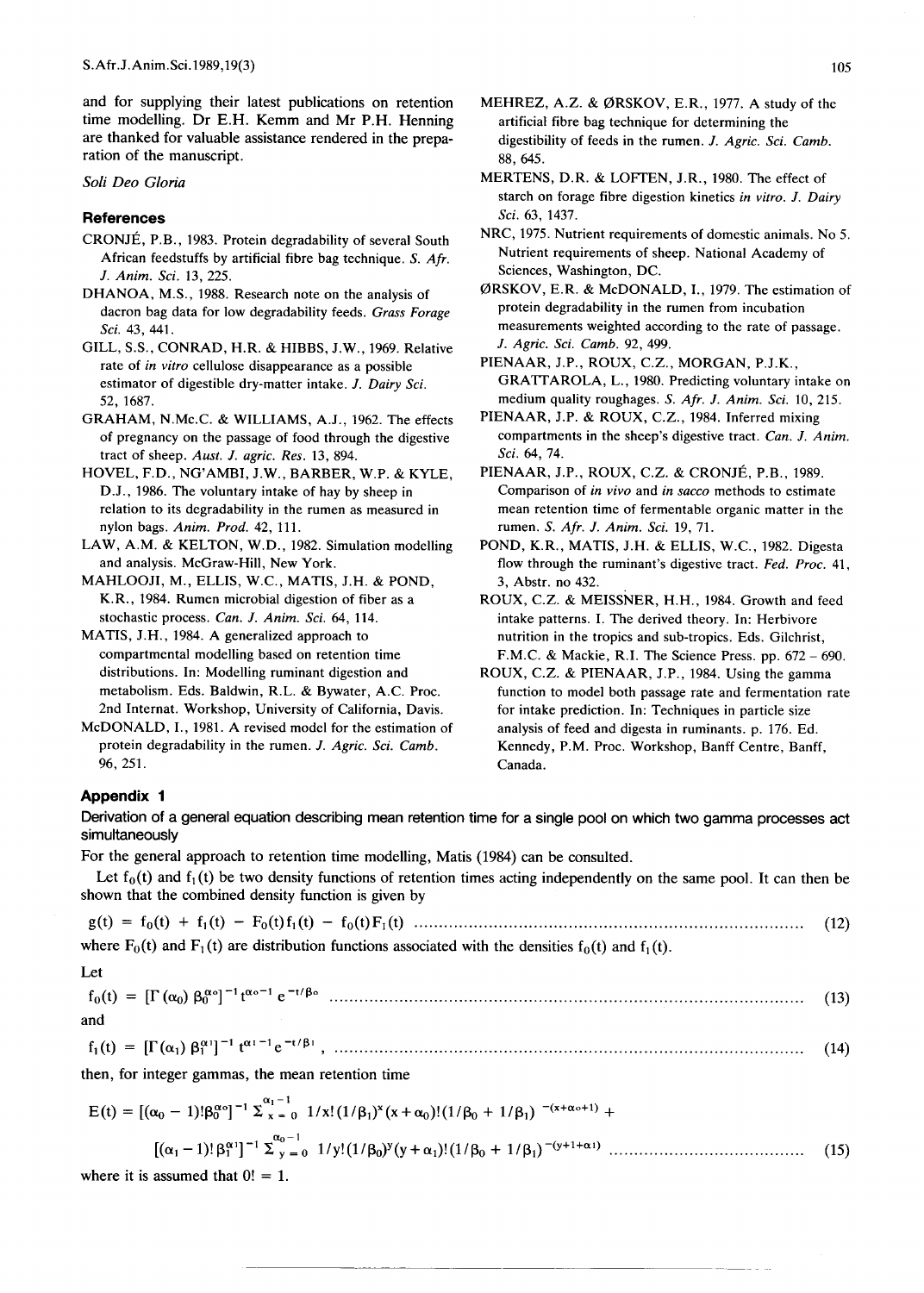and for supplying their latest publications on retention time modelling. Dr E.H. Kemm and Mr P.H. Henning are thanked for valuable assistance rendered in the preparation of the manuscript.

## *Soli Deo Gloria*

## **References**

- CRONJE, P.B., 1983. Protein degradability of several South African feedstuffs by artificial fibre bag technique. S. *Afr. J. Anim. Sci.* 13, 225.
- DHANOA, M.S., 1988. Research note on the analysis of dacron bag data for low degradability feeds. *Grass Forage Sci.* 43, 441.
- GILL, S.S., CONRAD, H.R. & HIBBS, J.W., 1969. Relative rate of *in vitro* cellulose disappearance as a possible estimator of digestible dry-matter intake. *J. Dairy Sci.* 52, 1687.
- GRAHAM, N.Mc.C. & WILLIAMS, A.J., 1962. The effects of pregnancy on the passage of food through the digestive tract of sheep. *Aust. J. agric. Res.* 13, 894.
- HOVEL, F.D., NG'AMBI, J.W., BARBER, W.P. & KYLE, D.J., 1986. The voluntary intake of hay by sheep in relation to its degradability in the rumen as measured in nylon bags. *Anim. Prod.* 42, 111.
- LAW, A.M. & KELTON, W.D., 1982. Simulation modelling and analysis. McGraw-Hill, New York.
- MAHLOOJI, M., ELLIS, W.C., MATIS, J.H. & POND, K.R., 1984. Rumen microbial digestion of fiber as a stochastic process. *Can. J. Anim. Sci.* 64, 114.
- MATIS, J.H., 1984. A generalized approach to compartmental modelling based on retention time distributions. In: Modelling ruminant digestion and metabolism. Eds. Baldwin, R.L. & Bywater, A.C. Proc. 2nd Internat. Workshop, University of California, Davis.
- McDONALD, I., 1981. A revised model for the estimation of protein degradability in the rumen. *J. Agric. Sci. Camb.* 96,251.
- MEHREZ, A.Z. & ØRSKOV, E.R., 1977. A study of the artificial fibre bag technique for determining the digestibility of feeds in the rumen. *J. Agric. Sci. Camb.* 88,645.
- MERTENS, D.R. & LOFfEN, J.R., 1980. The effect of starch on forage fibre digestion kinetics *in vitro. J. Dairy Sci.* 63, 1437.
- NRC, 1975. Nutrient requirements of domestic animals. No 5. Nutrient requirements of sheep. National Academy of Sciences, Washington, DC.
- 0RSKOV, E.R. & McDONALD, I., 1979. The estimation of protein degradability in the rumen from incubation measurements weighted according to the rate of passage. *J. Agric. Sci. Camb.* 92,499.
- PIENAAR, J.P., ROUX, C.Z., MORGAN, P.J.K., GRATTAROLA, L., 1980. Predicting voluntary intake on medium quality roughages. S. *Afr. J. Anim. Sci.* to, 215.
- PIENAAR, J.P. & ROUX, C.Z., 1984. Inferred mixing compartments in the sheep's digestive tract. *Can. J. Anim. Sci.* 64,74.
- PIENAAR, J.P., ROUX, C.Z. & CRONJÉ, P.B., 1989. Comparison of *in vivo* and *in sacco* methods to estimate mean retention time of fermentable organic matter in the rumen. S. *Afr. J. Anim. Sci.* 19, 71.
- POND, K.R., MATIS, J.H. & ELLIS, W.c., 1982. Digesta flow through the ruminant's digestive tract. *Fed. Proc.* 41, 3, Abstr. no 432.
- ROUX, C.Z. & MEISSNER, H.H., 1984. Growth and feed intake patterns. I. The derived theory. In: Herbivore nutrition in the tropics and sub-tropics. Eds. Gilchrist, F.M.C. & Mackie, R.I. The Science Press. pp.  $672 - 690$ .
- ROUX, C.Z. & PIENAAR, J.P., 1984. Using the gamma function to model both passage rate and fermentation rate for intake prediction. In: Techniques in particle size analysis of feed and digesta in ruminants. p. 176. Ed. Kennedy, P.M. Proc. Workshop, Banff Centre, Banff, Canada.

## **Appendix 1**

Let

Derivation of a general equation describing mean retention time for a single pool on which two gamma processes act simultaneously

For the general approach to retention time modelling, Matis (1984) can be consulted.

Let  $f_0(t)$  and  $f_1(t)$  be two density functions of retention times acting independently on the same pool. It can then be shown that the combined density function is given by

 $g(t) = f_0(t) + f_1(t) - F_0(t)f_1(t) - f_0(t)F_1(t)$  (12) where  $F_0(t)$  and  $F_1(t)$  are distribution functions associated with the densities  $f_0(t)$  and  $f_1(t)$ .

fo(t) and

f1(t) = [f(al) ~f'] -1 totI-1 e -t1~J , ........•••.........................................•.............................•.•.••...... (14)

then, for integer gammas, the mean retention time

otl-1 E(t) = [(no - 1)!~go]-1 !, x = <sup>0</sup> l/x!(I/~I)X(x+no)!(I/~o + 1/~1) -(x+oto+l)+ *[(al* -I)! *~~lrl* !'~-:']o l/y!(I/~o)Y(y+al)!(I/~o + 1/~I)-(y+1+otl) (15) where it is assumed that O! = 1.